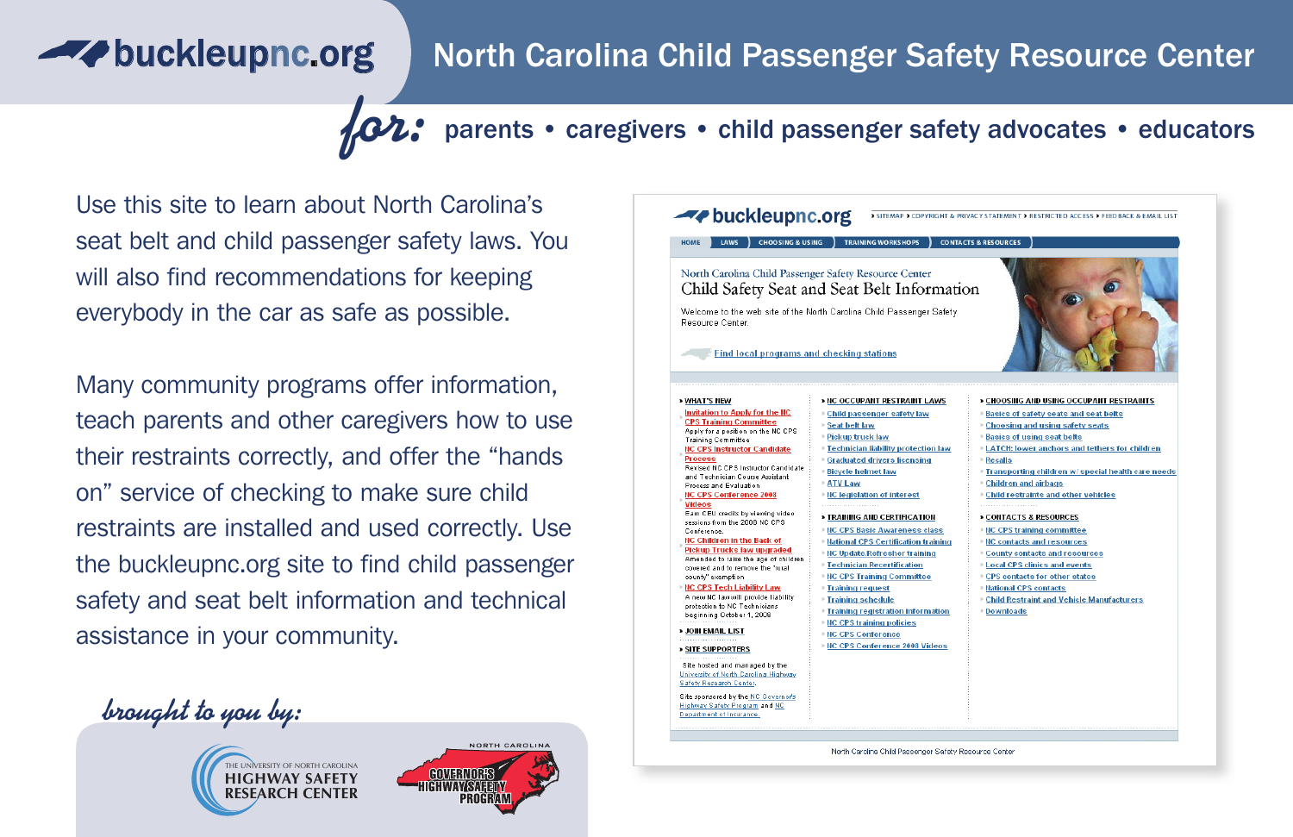# **A**buckleupnc.org

## North Carolina Child Passenger Safety Resource Center

### **for:** parents • caregivers • child passenger safety advocates • educators

Use this site to learn about North Carolina's seat belt and child passenger safety laws. You will also find recommendations for keeping everybody in the car as safe as possible.

Many community programs offer information, teach parents and other caregivers how to use their restraints correctly, and offer the "hands on" service of checking to make sure child restraints are installed and used correctly. Use the buckleupnc.org site to find child passenger safety and seat belt information and technical assistance in your community.

**brought to you by:**







North Carolina Child Passenger Safety Resource Center